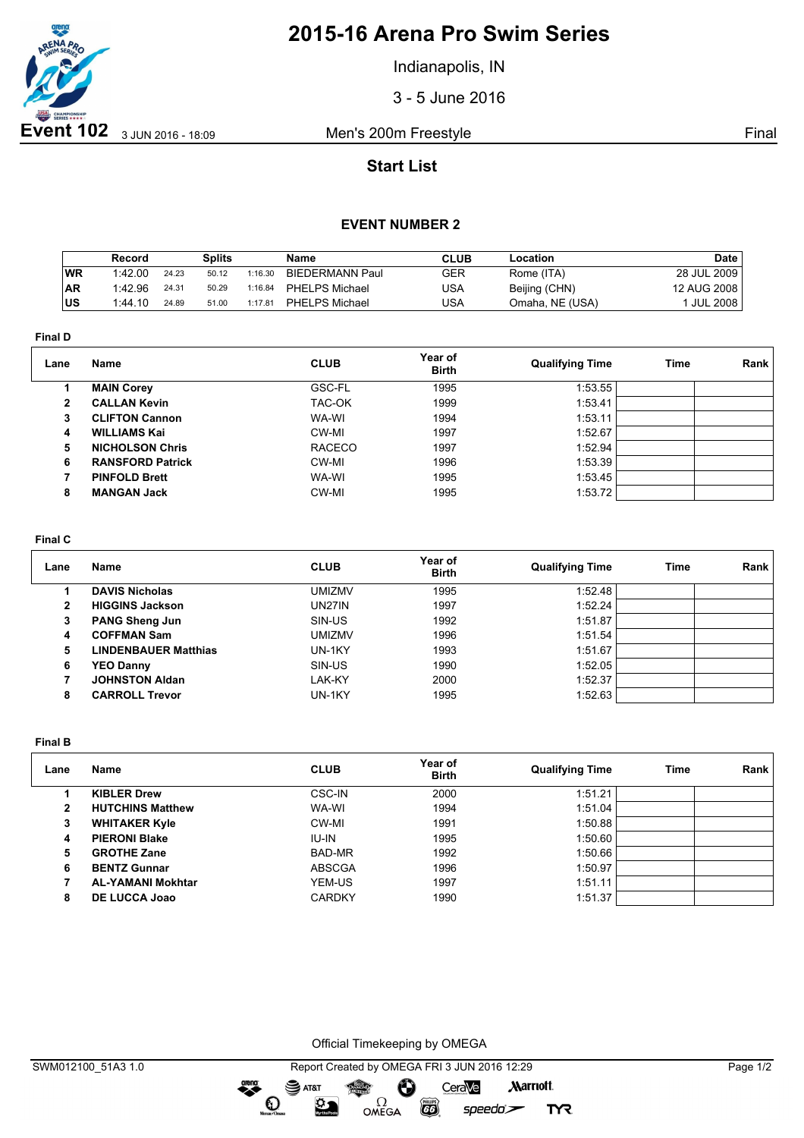

# **2015-16 Arena Pro Swim Series**

Indianapolis, IN

3 - 5 June 2016

## **Start List**

### **EVENT NUMBER 2**

|           | Record  |       | <b>Splits</b> |         | <b>Name</b>     | <b>CLUB</b> | Location        | <b>Date</b>     |
|-----------|---------|-------|---------------|---------|-----------------|-------------|-----------------|-----------------|
| <b>WR</b> | 1:42.00 | 24.23 | 50.12         | 1:16.30 | BIEDERMANN Paul | GER         | Rome (ITA)      | 28 JUL 2009     |
| <b>AR</b> | 1:42.96 | 24.31 | 50.29         | 1:16.84 | PHELPS Michael  | USA         | Beijing (CHN)   | 12 AUG 2008     |
| lus       | 1:44.10 | 24.89 | 51.00         | 1:17.81 | PHELPS Michael  | USA         | Omaha, NE (USA) | <b>JUL 2008</b> |

**Final D**

| Lane         | Name                    | <b>CLUB</b>   | Year of<br><b>Birth</b> | <b>Qualifying Time</b> | Time | Rank |
|--------------|-------------------------|---------------|-------------------------|------------------------|------|------|
|              | <b>MAIN Corey</b>       | GSC-FL        | 1995                    | 1:53.55                |      |      |
| $\mathbf{2}$ | <b>CALLAN Kevin</b>     | TAC-OK        | 1999                    | 1:53.41                |      |      |
| 3            | <b>CLIFTON Cannon</b>   | WA-WI         | 1994                    | 1:53.11                |      |      |
| 4            | <b>WILLIAMS Kai</b>     | CW-MI         | 1997                    | 1:52.67                |      |      |
| 5            | <b>NICHOLSON Chris</b>  | <b>RACECO</b> | 1997                    | 1:52.94                |      |      |
| 6            | <b>RANSFORD Patrick</b> | CW-MI         | 1996                    | 1:53.39                |      |      |
|              | <b>PINFOLD Brett</b>    | WA-WI         | 1995                    | 1:53.45                |      |      |
| 8            | <b>MANGAN Jack</b>      | CW-MI         | 1995                    | 1:53.72                |      |      |

#### **Final C**

| Lane         | Name                        | <b>CLUB</b>   | Year of<br><b>Birth</b> | <b>Qualifying Time</b> | Time | Rank |
|--------------|-----------------------------|---------------|-------------------------|------------------------|------|------|
|              | <b>DAVIS Nicholas</b>       | <b>UMIZMV</b> | 1995                    | 1:52.48                |      |      |
| $\mathbf{2}$ | <b>HIGGINS Jackson</b>      | UN27IN        | 1997                    | 1:52.24                |      |      |
| 3            | <b>PANG Sheng Jun</b>       | SIN-US        | 1992                    | 1:51.87                |      |      |
| 4            | <b>COFFMAN Sam</b>          | <b>UMIZMV</b> | 1996                    | 1:51.54                |      |      |
| 5.           | <b>LINDENBAUER Matthias</b> | UN-1KY        | 1993                    | 1:51.67                |      |      |
| 6            | <b>YEO Danny</b>            | SIN-US        | 1990                    | 1:52.05                |      |      |
|              | <b>JOHNSTON Aldan</b>       | LAK-KY        | 2000                    | 1:52.37                |      |      |
| 8            | <b>CARROLL Trevor</b>       | UN-1KY        | 1995                    | 1:52.63                |      |      |

**Final B**

| Lane | Name                     | <b>CLUB</b>   | Year of<br><b>Birth</b> | <b>Qualifying Time</b> | Time | Rank |
|------|--------------------------|---------------|-------------------------|------------------------|------|------|
|      | <b>KIBLER Drew</b>       | CSC-IN        | 2000                    | 1:51.21                |      |      |
| 2    | <b>HUTCHINS Matthew</b>  | WA-WI         | 1994                    | 1:51.04                |      |      |
| 3    | <b>WHITAKER Kyle</b>     | CW-MI         | 1991                    | 1:50.88                |      |      |
| 4    | <b>PIERONI Blake</b>     | IU-IN         | 1995                    | 1:50.60                |      |      |
| 5    | <b>GROTHE Zane</b>       | BAD-MR        | 1992                    | 1:50.66                |      |      |
| 6    | <b>BENTZ Gunnar</b>      | <b>ABSCGA</b> | 1996                    | 1:50.97                |      |      |
|      | <b>AL-YAMANI Mokhtar</b> | YEM-US        | 1997                    | 1:51.11                |      |      |
| 8    | DE LUCCA Joao            | <b>CARDKY</b> | 1990                    | 1:51.37                |      |      |

Official Timekeeping by OMEGA

OMEGA

Ô

**CO** 

CeraVe

 $speedo$ 

**Marriott** 

**TYR** 

dreng:

 $\mathbf{O}$ 

SAT&T

 $\mathfrak{D}$